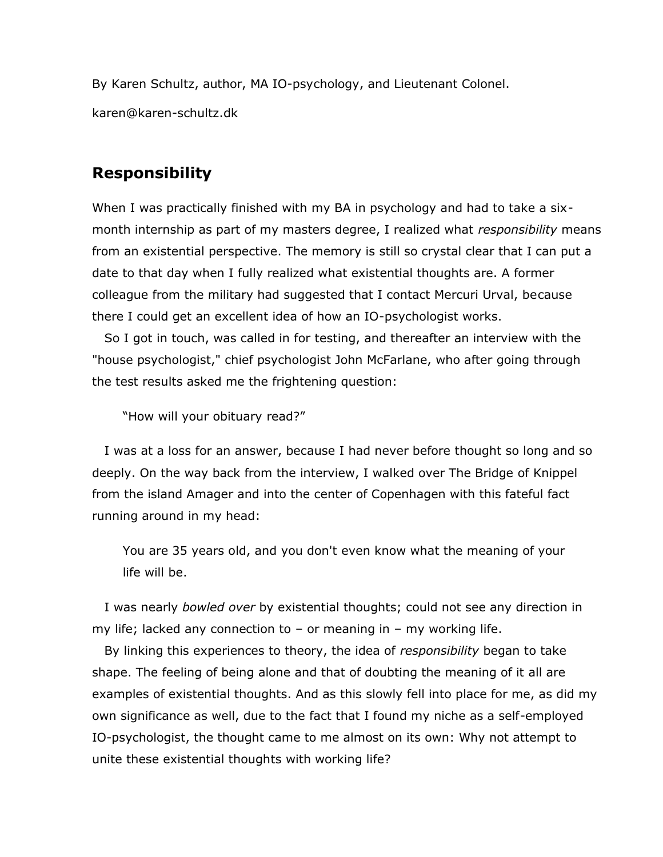By Karen Schultz, author, MA IO-psychology, and Lieutenant Colonel. karen@karen-schultz.dk

## **Responsibility**

When I was practically finished with my BA in psychology and had to take a sixmonth internship as part of my masters degree, I realized what *responsibility* means from an existential perspective. The memory is still so crystal clear that I can put a date to that day when I fully realized what existential thoughts are. A former colleague from the military had suggested that I contact Mercuri Urval, because there I could get an excellent idea of how an IO-psychologist works.

 So I got in touch, was called in for testing, and thereafter an interview with the "house psychologist," chief psychologist John McFarlane, who after going through the test results asked me the frightening question:

"How will your obituary read?"

 I was at a loss for an answer, because I had never before thought so long and so deeply. On the way back from the interview, I walked over The Bridge of Knippel from the island Amager and into the center of Copenhagen with this fateful fact running around in my head:

You are 35 years old, and you don't even know what the meaning of your life will be.

 I was nearly *bowled over* by existential thoughts; could not see any direction in my life; lacked any connection to  $-$  or meaning in  $-$  my working life.

 By linking this experiences to theory, the idea of *responsibility* began to take shape. The feeling of being alone and that of doubting the meaning of it all are examples of existential thoughts. And as this slowly fell into place for me, as did my own significance as well, due to the fact that I found my niche as a self-employed IO-psychologist, the thought came to me almost on its own: Why not attempt to unite these existential thoughts with working life?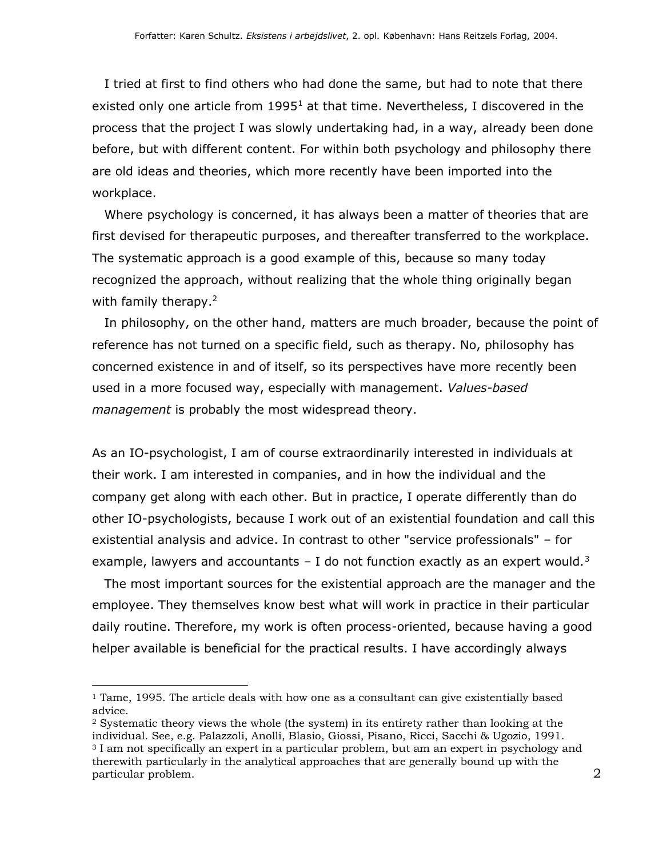I tried at first to find others who had done the same, but had to note that there existed only one article from  $1995<sup>1</sup>$  at that time. Nevertheless, I discovered in the process that the project I was slowly undertaking had, in a way, already been done before, but with different content. For within both psychology and philosophy there are old ideas and theories, which more recently have been imported into the workplace.

 Where psychology is concerned, it has always been a matter of theories that are first devised for therapeutic purposes, and thereafter transferred to the workplace. The systematic approach is a good example of this, because so many today recognized the approach, without realizing that the whole thing originally began with family therapy.<sup>2</sup>

 In philosophy, on the other hand, matters are much broader, because the point of reference has not turned on a specific field, such as therapy. No, philosophy has concerned existence in and of itself, so its perspectives have more recently been used in a more focused way, especially with management. *Values-based management* is probably the most widespread theory.

As an IO-psychologist, I am of course extraordinarily interested in individuals at their work. I am interested in companies, and in how the individual and the company get along with each other. But in practice, I operate differently than do other IO-psychologists, because I work out of an existential foundation and call this existential analysis and advice. In contrast to other "service professionals" – for example, lawyers and accountants  $-$  I do not function exactly as an expert would.<sup>3</sup>

 The most important sources for the existential approach are the manager and the employee. They themselves know best what will work in practice in their particular daily routine. Therefore, my work is often process-oriented, because having a good helper available is beneficial for the practical results. I have accordingly always

 $\overline{a}$ 

 $1$  Tame, 1995. The article deals with how one as a consultant can give existentially based advice.

<sup>2</sup> Systematic theory views the whole (the system) in its entirety rather than looking at the individual. See, e.g. Palazzoli, Anolli, Blasio, Giossi, Pisano, Ricci, Sacchi & Ugozio, 1991. <sup>3</sup> I am not specifically an expert in a particular problem, but am an expert in psychology and therewith particularly in the analytical approaches that are generally bound up with the particular problem.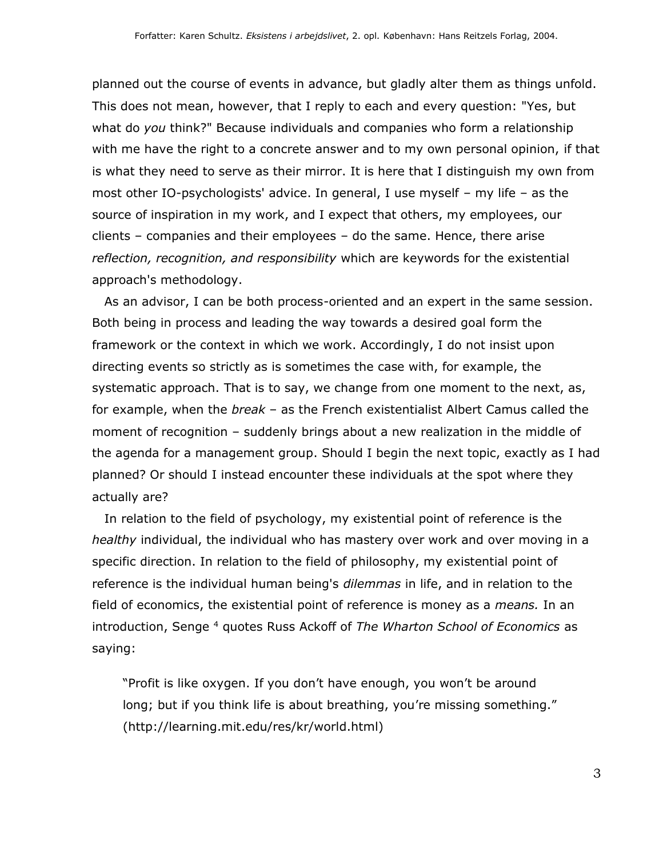planned out the course of events in advance, but gladly alter them as things unfold. This does not mean, however, that I reply to each and every question: "Yes, but what do *you* think?" Because individuals and companies who form a relationship with me have the right to a concrete answer and to my own personal opinion, if that is what they need to serve as their mirror. It is here that I distinguish my own from most other IO-psychologists' advice. In general, I use myself – my life – as the source of inspiration in my work, and I expect that others, my employees, our clients – companies and their employees – do the same. Hence, there arise *reflection, recognition, and responsibility* which are keywords for the existential approach's methodology.

 As an advisor, I can be both process-oriented and an expert in the same session. Both being in process and leading the way towards a desired goal form the framework or the context in which we work. Accordingly, I do not insist upon directing events so strictly as is sometimes the case with, for example, the systematic approach. That is to say, we change from one moment to the next, as, for example, when the *break* – as the French existentialist Albert Camus called the moment of recognition – suddenly brings about a new realization in the middle of the agenda for a management group. Should I begin the next topic, exactly as I had planned? Or should I instead encounter these individuals at the spot where they actually are?

 In relation to the field of psychology, my existential point of reference is the *healthy* individual, the individual who has mastery over work and over moving in a specific direction. In relation to the field of philosophy, my existential point of reference is the individual human being's *dilemmas* in life, and in relation to the field of economics, the existential point of reference is money as a *means.* In an introduction, Senge <sup>4</sup> quotes Russ Ackoff of *The Wharton School of Economics* as saying:

"Profit is like oxygen. If you don't have enough, you won't be around long; but if you think life is about breathing, you're missing something." (http://learning.mit.edu/res/kr/world.html)

3